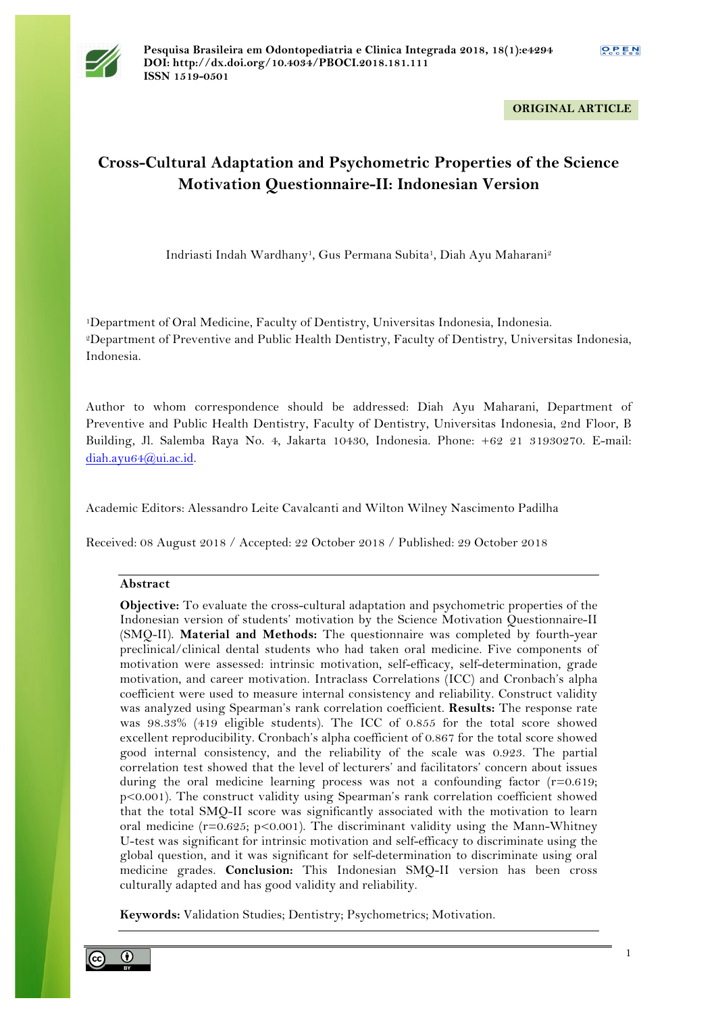

**ORIGINAL ARTICLE**

# **Cross-Cultural Adaptation and Psychometric Properties of the Science Motivation Questionnaire-II: Indonesian Version**

Indriasti Indah Wardhany<sup>1</sup>, Gus Permana Subita<sup>1</sup>, Diah Ayu Maharani<sup>2</sup>

1Department of Oral Medicine, Faculty of Dentistry, Universitas Indonesia, Indonesia. 2Department of Preventive and Public Health Dentistry, Faculty of Dentistry, Universitas Indonesia, Indonesia.

Author to whom correspondence should be addressed: Diah Ayu Maharani, Department of Preventive and Public Health Dentistry, Faculty of Dentistry, Universitas Indonesia, 2nd Floor, B Building, Jl. Salemba Raya No. 4, Jakarta 10430, Indonesia. Phone: +62 21 31930270. E-mail: diah.ayu64@ui.ac.id.

Academic Editors: Alessandro Leite Cavalcanti and Wilton Wilney Nascimento Padilha

Received: 08 August 2018 / Accepted: 22 October 2018 / Published: 29 October 2018

# **Abstract**

**Objective:** To evaluate the cross-cultural adaptation and psychometric properties of the Indonesian version of students' motivation by the Science Motivation Questionnaire-II (SMQ-II). **Material and Methods:** The questionnaire was completed by fourth-year preclinical/clinical dental students who had taken oral medicine. Five components of motivation were assessed: intrinsic motivation, self-efficacy, self-determination, grade motivation, and career motivation. Intraclass Correlations (ICC) and Cronbach's alpha coefficient were used to measure internal consistency and reliability. Construct validity was analyzed using Spearman's rank correlation coefficient. **Results:** The response rate was 98.33% (419 eligible students). The ICC of 0.855 for the total score showed excellent reproducibility. Cronbach's alpha coefficient of 0.867 for the total score showed good internal consistency, and the reliability of the scale was 0.923. The partial correlation test showed that the level of lecturers' and facilitators' concern about issues during the oral medicine learning process was not a confounding factor  $(r=0.619;$ p<0.001). The construct validity using Spearman's rank correlation coefficient showed that the total SMQ-II score was significantly associated with the motivation to learn oral medicine ( $r=0.625$ ;  $p<0.001$ ). The discriminant validity using the Mann-Whitney U-test was significant for intrinsic motivation and self-efficacy to discriminate using the global question, and it was significant for self-determination to discriminate using oral medicine grades. **Conclusion:** This Indonesian SMQ-II version has been cross culturally adapted and has good validity and reliability.

**Keywords:** Validation Studies; Dentistry; Psychometrics; Motivation.

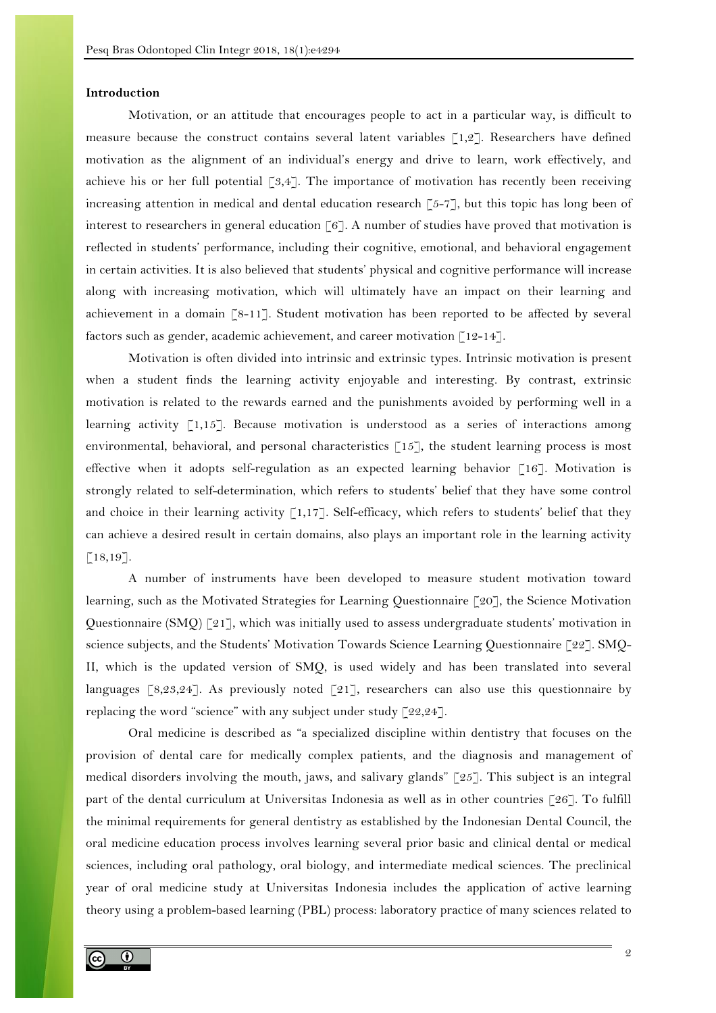#### **Introduction**

Motivation, or an attitude that encourages people to act in a particular way, is difficult to measure because the construct contains several latent variables  $\lceil 1,2 \rceil$ . Researchers have defined motivation as the alignment of an individual's energy and drive to learn, work effectively, and achieve his or her full potential [3,4]. The importance of motivation has recently been receiving increasing attention in medical and dental education research [5-7], but this topic has long been of interest to researchers in general education [6]. A number of studies have proved that motivation is reflected in students' performance, including their cognitive, emotional, and behavioral engagement in certain activities. It is also believed that students' physical and cognitive performance will increase along with increasing motivation, which will ultimately have an impact on their learning and achievement in a domain [8-11]. Student motivation has been reported to be affected by several factors such as gender, academic achievement, and career motivation  $\lceil 12-14 \rceil$ .

Motivation is often divided into intrinsic and extrinsic types. Intrinsic motivation is present when a student finds the learning activity enjoyable and interesting. By contrast, extrinsic motivation is related to the rewards earned and the punishments avoided by performing well in a learning activity [1,15]. Because motivation is understood as a series of interactions among environmental, behavioral, and personal characteristics [15], the student learning process is most effective when it adopts self-regulation as an expected learning behavior [16]. Motivation is strongly related to self-determination, which refers to students' belief that they have some control and choice in their learning activity [1,17]. Self-efficacy, which refers to students' belief that they can achieve a desired result in certain domains, also plays an important role in the learning activity [18,19].

A number of instruments have been developed to measure student motivation toward learning, such as the Motivated Strategies for Learning Questionnaire [20], the Science Motivation Questionnaire (SMQ) [21], which was initially used to assess undergraduate students' motivation in science subjects, and the Students' Motivation Towards Science Learning Questionnaire [22]. SMQ-II, which is the updated version of SMQ, is used widely and has been translated into several languages [8,23,24]. As previously noted [21], researchers can also use this questionnaire by replacing the word "science" with any subject under study  $\lceil 22.24 \rceil$ .

Oral medicine is described as "a specialized discipline within dentistry that focuses on the provision of dental care for medically complex patients, and the diagnosis and management of medical disorders involving the mouth, jaws, and salivary glands" [25]. This subject is an integral part of the dental curriculum at Universitas Indonesia as well as in other countries [26]. To fulfill the minimal requirements for general dentistry as established by the Indonesian Dental Council, the oral medicine education process involves learning several prior basic and clinical dental or medical sciences, including oral pathology, oral biology, and intermediate medical sciences. The preclinical year of oral medicine study at Universitas Indonesia includes the application of active learning theory using a problem-based learning (PBL) process: laboratory practice of many sciences related to

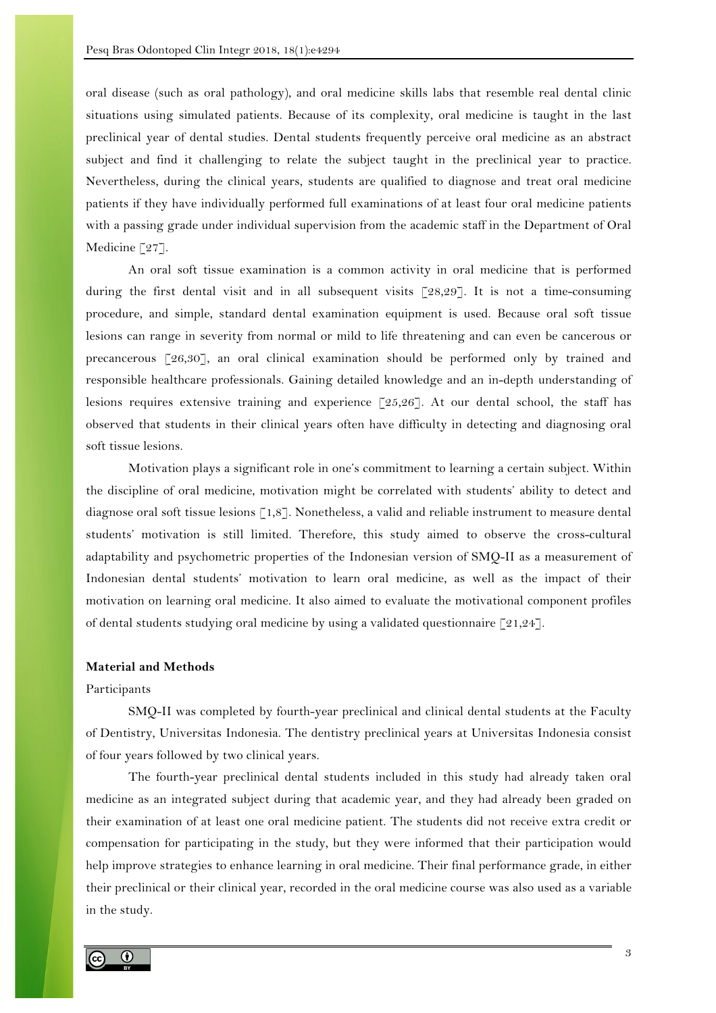oral disease (such as oral pathology), and oral medicine skills labs that resemble real dental clinic situations using simulated patients. Because of its complexity, oral medicine is taught in the last preclinical year of dental studies. Dental students frequently perceive oral medicine as an abstract subject and find it challenging to relate the subject taught in the preclinical year to practice. Nevertheless, during the clinical years, students are qualified to diagnose and treat oral medicine patients if they have individually performed full examinations of at least four oral medicine patients with a passing grade under individual supervision from the academic staff in the Department of Oral Medicine [27].

An oral soft tissue examination is a common activity in oral medicine that is performed during the first dental visit and in all subsequent visits [28,29]. It is not a time-consuming procedure, and simple, standard dental examination equipment is used. Because oral soft tissue lesions can range in severity from normal or mild to life threatening and can even be cancerous or precancerous [26,30], an oral clinical examination should be performed only by trained and responsible healthcare professionals. Gaining detailed knowledge and an in-depth understanding of lesions requires extensive training and experience  $\lceil 25,26 \rceil$ . At our dental school, the staff has observed that students in their clinical years often have difficulty in detecting and diagnosing oral soft tissue lesions.

Motivation plays a significant role in one's commitment to learning a certain subject. Within the discipline of oral medicine, motivation might be correlated with students' ability to detect and diagnose oral soft tissue lesions [1,8]. Nonetheless, a valid and reliable instrument to measure dental students' motivation is still limited. Therefore, this study aimed to observe the cross-cultural adaptability and psychometric properties of the Indonesian version of SMQ-II as a measurement of Indonesian dental students' motivation to learn oral medicine, as well as the impact of their motivation on learning oral medicine. It also aimed to evaluate the motivational component profiles of dental students studying oral medicine by using a validated questionnaire  $[21,24]$ .

# **Material and Methods**

#### Participants

SMQ-II was completed by fourth-year preclinical and clinical dental students at the Faculty of Dentistry, Universitas Indonesia. The dentistry preclinical years at Universitas Indonesia consist of four years followed by two clinical years.

The fourth-year preclinical dental students included in this study had already taken oral medicine as an integrated subject during that academic year, and they had already been graded on their examination of at least one oral medicine patient. The students did not receive extra credit or compensation for participating in the study, but they were informed that their participation would help improve strategies to enhance learning in oral medicine. Their final performance grade, in either their preclinical or their clinical year, recorded in the oral medicine course was also used as a variable in the study.

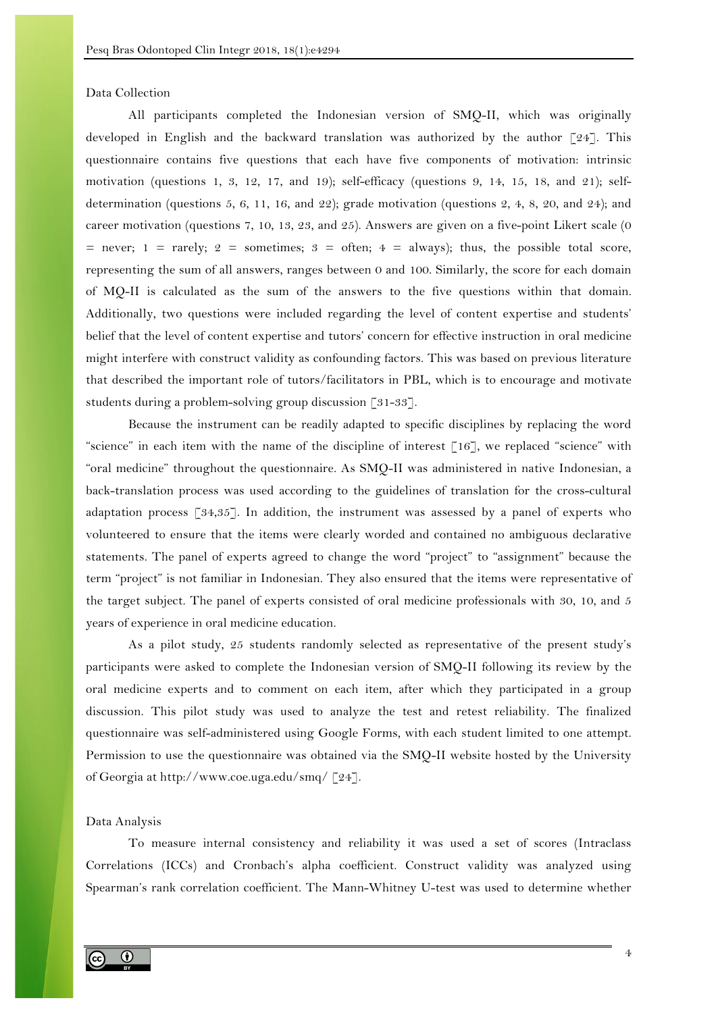Data Collection

All participants completed the Indonesian version of SMQ-II, which was originally developed in English and the backward translation was authorized by the author [24]. This questionnaire contains five questions that each have five components of motivation: intrinsic motivation (questions 1, 3, 12, 17, and 19); self-efficacy (questions 9, 14, 15, 18, and 21); selfdetermination (questions 5, 6, 11, 16, and 22); grade motivation (questions 2, 4, 8, 20, and 24); and career motivation (questions 7, 10, 13, 23, and 25). Answers are given on a five-point Likert scale (0 = never; 1 = rarely; 2 = sometimes; 3 = often;  $4 =$  always); thus, the possible total score, representing the sum of all answers, ranges between 0 and 100. Similarly, the score for each domain of MQ-II is calculated as the sum of the answers to the five questions within that domain. Additionally, two questions were included regarding the level of content expertise and students' belief that the level of content expertise and tutors' concern for effective instruction in oral medicine might interfere with construct validity as confounding factors. This was based on previous literature that described the important role of tutors/facilitators in PBL, which is to encourage and motivate students during a problem-solving group discussion [31-33].

Because the instrument can be readily adapted to specific disciplines by replacing the word "science" in each item with the name of the discipline of interest [16], we replaced "science" with "oral medicine" throughout the questionnaire. As SMQ-II was administered in native Indonesian, a back-translation process was used according to the guidelines of translation for the cross-cultural adaptation process [34,35]. In addition, the instrument was assessed by a panel of experts who volunteered to ensure that the items were clearly worded and contained no ambiguous declarative statements. The panel of experts agreed to change the word "project" to "assignment" because the term "project" is not familiar in Indonesian. They also ensured that the items were representative of the target subject. The panel of experts consisted of oral medicine professionals with 30, 10, and 5 years of experience in oral medicine education.

As a pilot study, 25 students randomly selected as representative of the present study's participants were asked to complete the Indonesian version of SMQ-II following its review by the oral medicine experts and to comment on each item, after which they participated in a group discussion. This pilot study was used to analyze the test and retest reliability. The finalized questionnaire was self-administered using Google Forms, with each student limited to one attempt. Permission to use the questionnaire was obtained via the SMQ-II website hosted by the University of Georgia at http://www.coe.uga.edu/smq/ [24].

Data Analysis

To measure internal consistency and reliability it was used a set of scores (Intraclass Correlations (ICCs) and Cronbach's alpha coefficient. Construct validity was analyzed using Spearman's rank correlation coefficient. The Mann-Whitney U-test was used to determine whether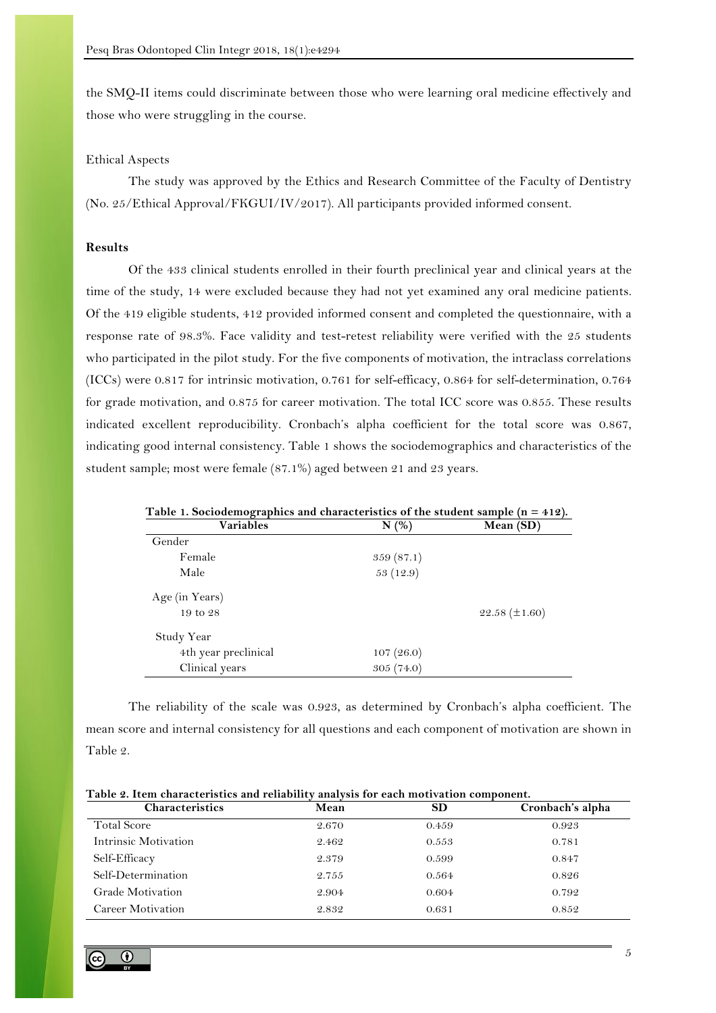the SMQ-II items could discriminate between those who were learning oral medicine effectively and those who were struggling in the course.

### Ethical Aspects

The study was approved by the Ethics and Research Committee of the Faculty of Dentistry (No. 25/Ethical Approval/FKGUI/IV/2017). All participants provided informed consent.

# **Results**

Of the 433 clinical students enrolled in their fourth preclinical year and clinical years at the time of the study, 14 were excluded because they had not yet examined any oral medicine patients. Of the 419 eligible students, 412 provided informed consent and completed the questionnaire, with a response rate of 98.3%. Face validity and test-retest reliability were verified with the 25 students who participated in the pilot study. For the five components of motivation, the intraclass correlations (ICCs) were 0.817 for intrinsic motivation, 0.761 for self-efficacy, 0.864 for self-determination, 0.764 for grade motivation, and 0.875 for career motivation. The total ICC score was 0.855. These results indicated excellent reproducibility. Cronbach's alpha coefficient for the total score was 0.867, indicating good internal consistency. Table 1 shows the sociodemographics and characteristics of the student sample; most were female (87.1%) aged between 21 and 23 years.

| Table 1. Sociodemographics and characteristics of the student sample $(n = 412)$ .<br><b>Variables</b> | N(%       | Mean (SD)            |
|--------------------------------------------------------------------------------------------------------|-----------|----------------------|
| Gender                                                                                                 |           |                      |
| Female                                                                                                 | 359(87.1) |                      |
| Male                                                                                                   | 53 (12.9) |                      |
| Age (in Years)                                                                                         |           |                      |
| 19 to 28                                                                                               |           | $22.58 \ (\pm 1.60)$ |
| Study Year                                                                                             |           |                      |
| 4th year preclinical                                                                                   | 107(26.0) |                      |
| Clinical years                                                                                         | 305(74.0) |                      |

The reliability of the scale was 0.923, as determined by Cronbach's alpha coefficient. The mean score and internal consistency for all questions and each component of motivation are shown in Table 2.

| Table 2, Item characteristics and rehability analysis for each motivation component, |       |           |                  |  |
|--------------------------------------------------------------------------------------|-------|-----------|------------------|--|
| Characteristics                                                                      | Mean  | <b>SD</b> | Cronbach's alpha |  |
| <b>Total Score</b>                                                                   | 2.670 | 0.459     | 0.923            |  |
| Intrinsic Motivation                                                                 | 2.462 | 0.553     | 0.781            |  |
| Self-Efficacy                                                                        | 2.379 | 0.599     | 0.847            |  |
| Self-Determination                                                                   | 2.755 | 0.564     | 0.826            |  |
| Grade Motivation                                                                     | 2.904 | 0.604     | 0.792            |  |
| Career Motivation                                                                    | 2.832 | 0.631     | 0.852            |  |
|                                                                                      |       |           |                  |  |

**Table 2. Item characteristics and reliability analysis for each motivation component.** 

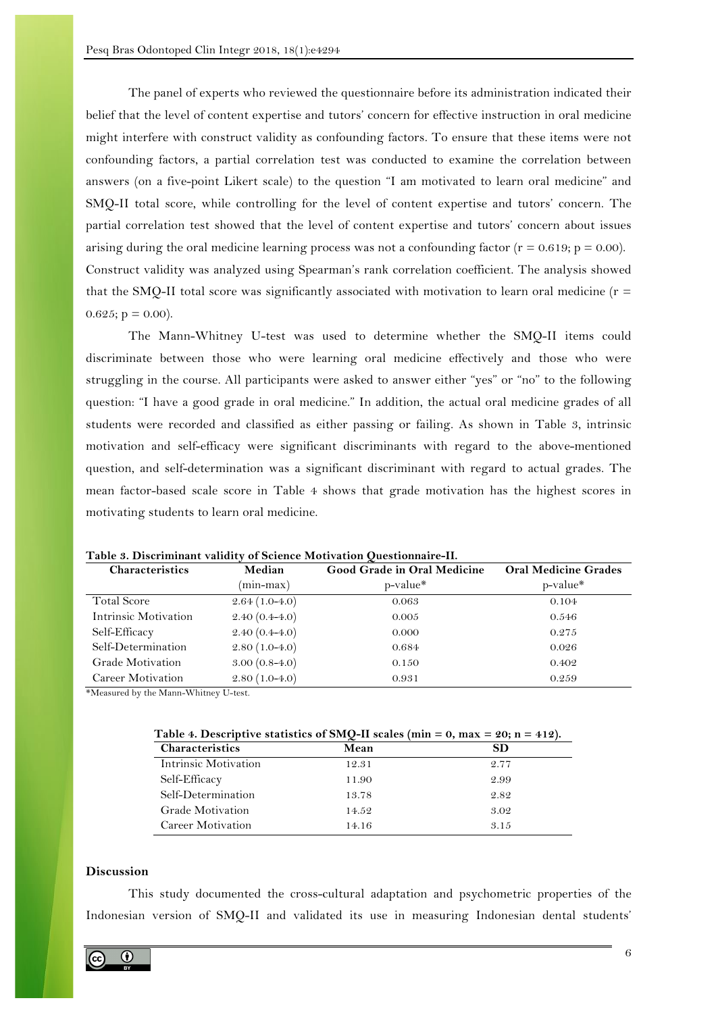The panel of experts who reviewed the questionnaire before its administration indicated their belief that the level of content expertise and tutors' concern for effective instruction in oral medicine might interfere with construct validity as confounding factors. To ensure that these items were not confounding factors, a partial correlation test was conducted to examine the correlation between answers (on a five-point Likert scale) to the question "I am motivated to learn oral medicine" and SMQ-II total score, while controlling for the level of content expertise and tutors' concern. The partial correlation test showed that the level of content expertise and tutors' concern about issues arising during the oral medicine learning process was not a confounding factor  $(r = 0.619; p = 0.00)$ . Construct validity was analyzed using Spearman's rank correlation coefficient. The analysis showed that the SMQ-II total score was significantly associated with motivation to learn oral medicine ( $r =$  $0.625$ ; p = 0.00).

The Mann-Whitney U-test was used to determine whether the SMQ-II items could discriminate between those who were learning oral medicine effectively and those who were struggling in the course. All participants were asked to answer either "yes" or "no" to the following question: "I have a good grade in oral medicine." In addition, the actual oral medicine grades of all students were recorded and classified as either passing or failing. As shown in Table 3, intrinsic motivation and self-efficacy were significant discriminants with regard to the above-mentioned question, and self-determination was a significant discriminant with regard to actual grades. The mean factor-based scale score in Table 4 shows that grade motivation has the highest scores in motivating students to learn oral medicine.

| Characteristics      | Median            | Good Grade in Oral Medicine | <b>Oral Medicine Grades</b> |
|----------------------|-------------------|-----------------------------|-----------------------------|
|                      | (min-max)         | p-value*                    | $p-value*$                  |
| <b>Total Score</b>   | $2.64(1.0-4.0)$   | 0.063                       | 0.104                       |
| Intrinsic Motivation | $2.40(0.4-4.0)$   | 0.005                       | 0.546                       |
| Self-Efficacy        | $2.40(0.4 - 4.0)$ | 0.000                       | 0.275                       |
| Self-Determination   | $2.80(1.0-4.0)$   | 0.684                       | 0.026                       |
| Grade Motivation     | $3.00(0.8-4.0)$   | 0.150                       | 0.402                       |
| Career Motivation    | $2.80(1.0-4.0)$   | 0.931                       | 0.259                       |

**Table 3. Discriminant validity of Science Motivation Questionnaire-II.**

\*Measured by the Mann-Whitney U-test.

|                         | Tuble 1. Descriptive statistics of bing in search (min. | $\mathbf{v}$ . III. $\mathbf{v}$<br>---- |
|-------------------------|---------------------------------------------------------|------------------------------------------|
| <b>Characteristics</b>  | Mean                                                    | SD                                       |
| Intrinsic Motivation    | 12.31                                                   | 2.77                                     |
| Self-Efficacy           | 11.90                                                   | 2.99                                     |
| Self-Determination      | 13.78                                                   | 2.82                                     |
| <b>Grade Motivation</b> | 14.52                                                   | 3.02                                     |
| Career Motivation       | 14.16                                                   | 3.15                                     |

Table 4. Descriptive statistics of SMO-II scales ( $\min$  = 0,  $\max$  =  $90: n = 419$ )

### **Discussion**

This study documented the cross-cultural adaptation and psychometric properties of the Indonesian version of SMQ-II and validated its use in measuring Indonesian dental students'

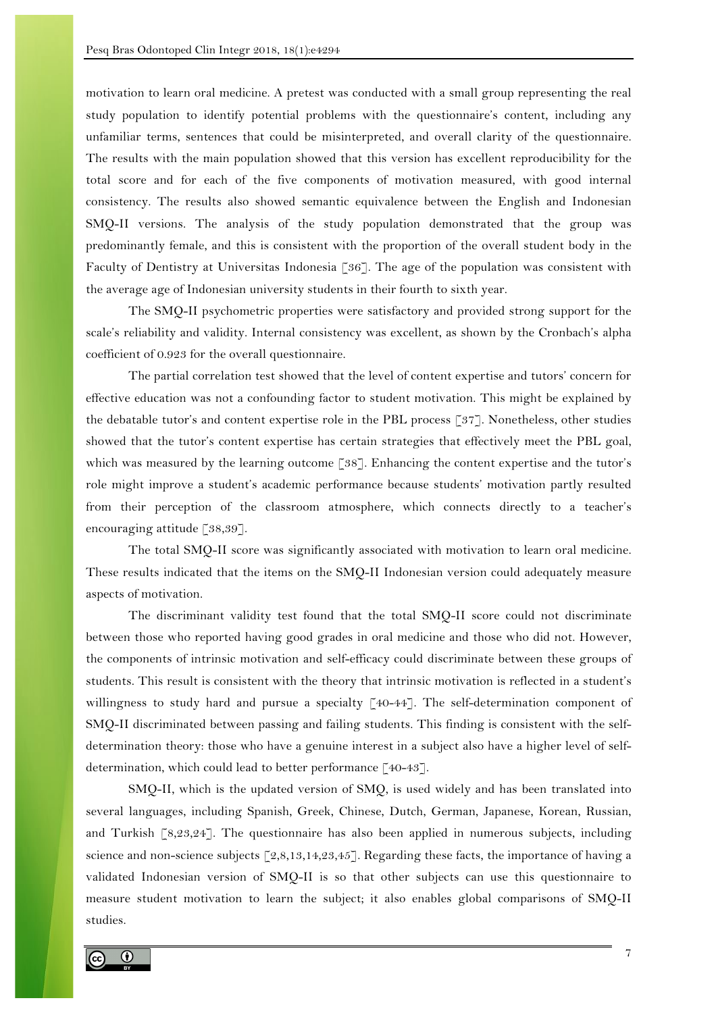motivation to learn oral medicine. A pretest was conducted with a small group representing the real study population to identify potential problems with the questionnaire's content, including any unfamiliar terms, sentences that could be misinterpreted, and overall clarity of the questionnaire. The results with the main population showed that this version has excellent reproducibility for the total score and for each of the five components of motivation measured, with good internal consistency. The results also showed semantic equivalence between the English and Indonesian SMQ-II versions. The analysis of the study population demonstrated that the group was predominantly female, and this is consistent with the proportion of the overall student body in the Faculty of Dentistry at Universitas Indonesia [36]. The age of the population was consistent with the average age of Indonesian university students in their fourth to sixth year.

The SMQ-II psychometric properties were satisfactory and provided strong support for the scale's reliability and validity. Internal consistency was excellent, as shown by the Cronbach's alpha coefficient of 0.923 for the overall questionnaire.

The partial correlation test showed that the level of content expertise and tutors' concern for effective education was not a confounding factor to student motivation. This might be explained by the debatable tutor's and content expertise role in the PBL process [37]. Nonetheless, other studies showed that the tutor's content expertise has certain strategies that effectively meet the PBL goal, which was measured by the learning outcome [38]. Enhancing the content expertise and the tutor's role might improve a student's academic performance because students' motivation partly resulted from their perception of the classroom atmosphere, which connects directly to a teacher's encouraging attitude [38,39].

The total SMQ-II score was significantly associated with motivation to learn oral medicine. These results indicated that the items on the SMQ-II Indonesian version could adequately measure aspects of motivation.

The discriminant validity test found that the total SMQ-II score could not discriminate between those who reported having good grades in oral medicine and those who did not. However, the components of intrinsic motivation and self-efficacy could discriminate between these groups of students. This result is consistent with the theory that intrinsic motivation is reflected in a student's willingness to study hard and pursue a specialty [40-44]. The self-determination component of SMQ-II discriminated between passing and failing students. This finding is consistent with the selfdetermination theory: those who have a genuine interest in a subject also have a higher level of selfdetermination, which could lead to better performance [40-43].

SMQ-II, which is the updated version of SMQ, is used widely and has been translated into several languages, including Spanish, Greek, Chinese, Dutch, German, Japanese, Korean, Russian, and Turkish [8,23,24]. The questionnaire has also been applied in numerous subjects, including science and non-science subjects  $[2,8,13,14,23,45]$ . Regarding these facts, the importance of having a validated Indonesian version of SMQ-II is so that other subjects can use this questionnaire to measure student motivation to learn the subject; it also enables global comparisons of SMQ-II studies.

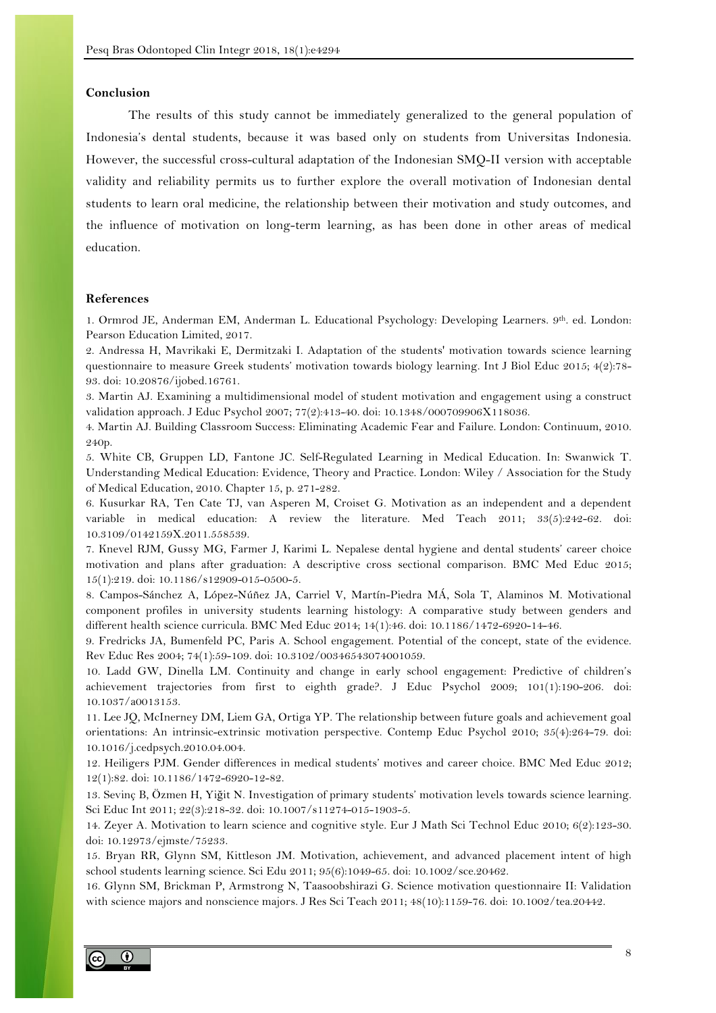#### **Conclusion**

The results of this study cannot be immediately generalized to the general population of Indonesia's dental students, because it was based only on students from Universitas Indonesia. However, the successful cross-cultural adaptation of the Indonesian SMQ-II version with acceptable validity and reliability permits us to further explore the overall motivation of Indonesian dental students to learn oral medicine, the relationship between their motivation and study outcomes, and the influence of motivation on long-term learning, as has been done in other areas of medical education.

#### **References**

1. Ormrod JE, Anderman EM, Anderman L. Educational Psychology: Developing Learners. 9th. ed. London: Pearson Education Limited, 2017.

2. Andressa H, Mavrikaki E, Dermitzaki I. Adaptation of the students' motivation towards science learning questionnaire to measure Greek students' motivation towards biology learning. Int J Biol Educ 2015; 4(2):78-93. doi: 10.20876/ijobed.16761.

3. Martin AJ. Examining a multidimensional model of student motivation and engagement using a construct validation approach. J Educ Psychol 2007; 77(2):413-40. doi: 10.1348/000709906X118036.

4. Martin AJ. Building Classroom Success: Eliminating Academic Fear and Failure. London: Continuum, 2010. 240p.

5. White CB, Gruppen LD, Fantone JC. Self-Regulated Learning in Medical Education. In: Swanwick T. Understanding Medical Education: Evidence, Theory and Practice. London: Wiley / Association for the Study of Medical Education, 2010. Chapter 15, p. 271-282.

6. Kusurkar RA, Ten Cate TJ, van Asperen M, Croiset G. Motivation as an independent and a dependent variable in medical education: A review the literature. Med Teach 2011; 33(5):242-62. doi: 10.3109/0142159X.2011.558539.

7. Knevel RJM, Gussy MG, Farmer J, Karimi L. Nepalese dental hygiene and dental students' career choice motivation and plans after graduation: A descriptive cross sectional comparison. BMC Med Educ 2015; 15(1):219. doi: 10.1186/s12909-015-0500-5.

8. Campos-Sánchez A, López-Núñez JA, Carriel V, Martín-Piedra MÁ, Sola T, Alaminos M. Motivational component profiles in university students learning histology: A comparative study between genders and different health science curricula. BMC Med Educ 2014; 14(1):46. doi: 10.1186/1472-6920-14-46.

9. Fredricks JA, Bumenfeld PC, Paris A. School engagement. Potential of the concept, state of the evidence. Rev Educ Res 2004; 74(1):59-109. doi: 10.3102/00346543074001059.

10. Ladd GW, Dinella LM. Continuity and change in early school engagement: Predictive of children's achievement trajectories from first to eighth grade?. J Educ Psychol 2009; 101(1):190-206. doi: 10.1037/a0013153.

11. Lee JQ, McInerney DM, Liem GA, Ortiga YP. The relationship between future goals and achievement goal orientations: An intrinsic-extrinsic motivation perspective. Contemp Educ Psychol 2010; 35(4):264-79. doi: 10.1016/j.cedpsych.2010.04.004.

12. Heiligers PJM. Gender differences in medical students' motives and career choice. BMC Med Educ 2012; 12(1):82. doi: 10.1186/1472-6920-12-82.

13. Sevinç B, Özmen H, Yiğit N. Investigation of primary students' motivation levels towards science learning. Sci Educ Int 2011; 22(3):218-32. doi: 10.1007/s11274-015-1903-5.

14. Zeyer A. Motivation to learn science and cognitive style. Eur J Math Sci Technol Educ 2010; 6(2):123-30. doi: 10.12973/ejmste/75233.

15. Bryan RR, Glynn SM, Kittleson JM. Motivation, achievement, and advanced placement intent of high school students learning science. Sci Edu 2011; 95(6):1049-65. doi: 10.1002/sce.20462.

16. Glynn SM, Brickman P, Armstrong N, Taasoobshirazi G. Science motivation questionnaire II: Validation with science majors and nonscience majors. J Res Sci Teach 2011; 48(10):1159-76. doi: 10.1002/tea.20442.

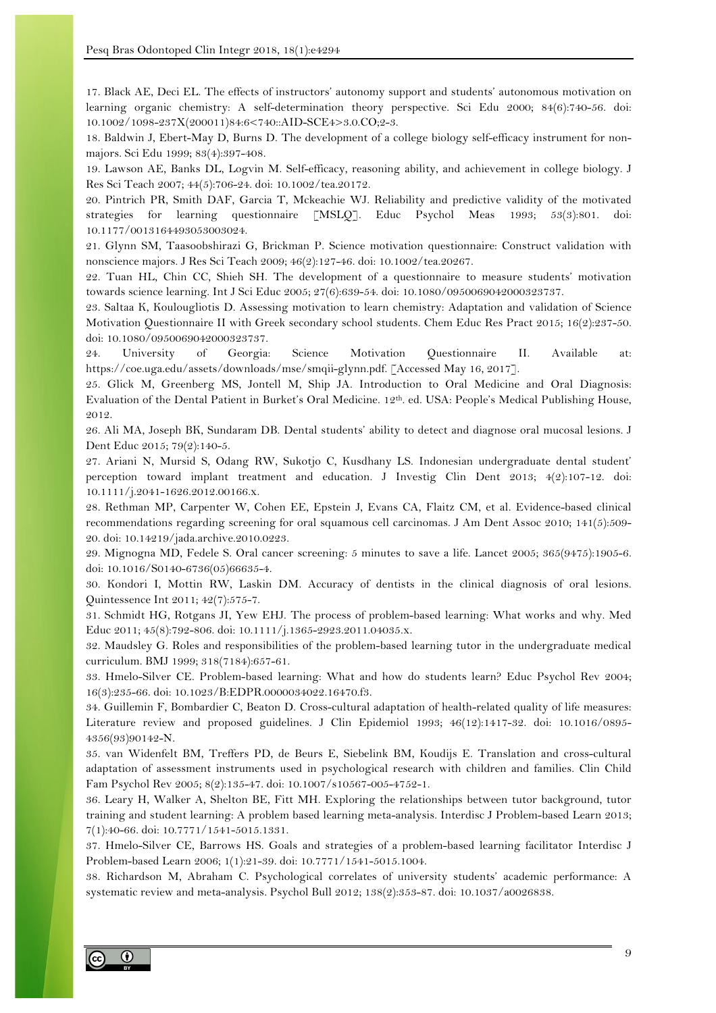17. Black AE, Deci EL. The effects of instructors' autonomy support and students' autonomous motivation on learning organic chemistry: A self-determination theory perspective. Sci Edu 2000; 84(6):740-56. doi: 10.1002/1098-237X(200011)84:6<740::AID-SCE4>3.0.CO;2-3.

18. Baldwin J, Ebert-May D, Burns D. The development of a college biology self-efficacy instrument for nonmajors. Sci Edu 1999; 83(4):397-408.

19. Lawson AE, Banks DL, Logvin M. Self-efficacy, reasoning ability, and achievement in college biology. J Res Sci Teach 2007; 44(5):706-24. doi: 10.1002/tea.20172.

20. Pintrich PR, Smith DAF, Garcia T, Mckeachie WJ. Reliability and predictive validity of the motivated strategies for learning questionnaire [MSLQ]. Educ Psychol Meas 1993; 53(3):801. doi: 10.1177/0013164493053003024.

21. Glynn SM, Taasoobshirazi G, Brickman P. Science motivation questionnaire: Construct validation with nonscience majors. J Res Sci Teach 2009; 46(2):127-46. doi: 10.1002/tea.20267.

22. Tuan HL, Chin CC, Shieh SH. The development of a questionnaire to measure students' motivation towards science learning. Int J Sci Educ 2005; 27(6):639-54. doi: 10.1080/0950069042000323737.

23. Saltaa K, Koulougliotis D. Assessing motivation to learn chemistry: Adaptation and validation of Science Motivation Questionnaire II with Greek secondary school students. Chem Educ Res Pract 2015; 16(2):237-50. doi: 10.1080/0950069042000323737.

24. University of Georgia: Science Motivation Questionnaire II. Available at: https://coe.uga.edu/assets/downloads/mse/smqii-glynn.pdf. [Accessed May 16, 2017].

25. Glick M, Greenberg MS, Jontell M, Ship JA. Introduction to Oral Medicine and Oral Diagnosis: Evaluation of the Dental Patient in Burket's Oral Medicine. 12th. ed. USA: People's Medical Publishing House, 2012.

26. Ali MA, Joseph BK, Sundaram DB. Dental students' ability to detect and diagnose oral mucosal lesions. J Dent Educ 2015; 79(2):140-5.

27. Ariani N, Mursid S, Odang RW, Sukotjo C, Kusdhany LS. Indonesian undergraduate dental student' perception toward implant treatment and education. J Investig Clin Dent 2013; 4(2):107-12. doi: 10.1111/j.2041-1626.2012.00166.x.

28. Rethman MP, Carpenter W, Cohen EE, Epstein J, Evans CA, Flaitz CM, et al. Evidence-based clinical recommendations regarding screening for oral squamous cell carcinomas. J Am Dent Assoc 2010; 141(5):509- 20. doi: 10.14219/jada.archive.2010.0223.

29. Mignogna MD, Fedele S. Oral cancer screening: 5 minutes to save a life. Lancet 2005; 365(9475):1905-6. doi: 10.1016/S0140-6736(05)66635-4.

30. Kondori I, Mottin RW, Laskin DM. Accuracy of dentists in the clinical diagnosis of oral lesions. Quintessence Int 2011; 42(7):575-7.

31. Schmidt HG, Rotgans JI, Yew EHJ. The process of problem-based learning: What works and why. Med Educ 2011; 45(8):792-806. doi: 10.1111/j.1365-2923.2011.04035.x.

32. Maudsley G. Roles and responsibilities of the problem-based learning tutor in the undergraduate medical curriculum. BMJ 1999; 318(7184):657-61.

33. Hmelo-Silver CE. Problem-based learning: What and how do students learn? Educ Psychol Rev 2004; 16(3):235-66. doi: 10.1023/B:EDPR.0000034022.16470.f3.

34. Guillemin F, Bombardier C, Beaton D. Cross-cultural adaptation of health-related quality of life measures: Literature review and proposed guidelines. J Clin Epidemiol 1993; 46(12):1417-32. doi: 10.1016/0895- 4356(93)90142-N.

35. van Widenfelt BM, Treffers PD, de Beurs E, Siebelink BM, Koudijs E. Translation and cross-cultural adaptation of assessment instruments used in psychological research with children and families. Clin Child Fam Psychol Rev 2005; 8(2):135-47. doi: 10.1007/s10567-005-4752-1.

36. Leary H, Walker A, Shelton BE, Fitt MH. Exploring the relationships between tutor background, tutor training and student learning: A problem based learning meta-analysis. Interdisc J Problem-based Learn 2013; 7(1):40-66. doi: 10.7771/1541-5015.1331.

37. Hmelo-Silver CE, Barrows HS. Goals and strategies of a problem-based learning facilitator Interdisc J Problem-based Learn 2006; 1(1):21-39. doi: 10.7771/1541-5015.1004.

38. Richardson M, Abraham C. Psychological correlates of university students' academic performance: A systematic review and meta-analysis. Psychol Bull 2012; 138(2):353-87. doi: 10.1037/a0026838.